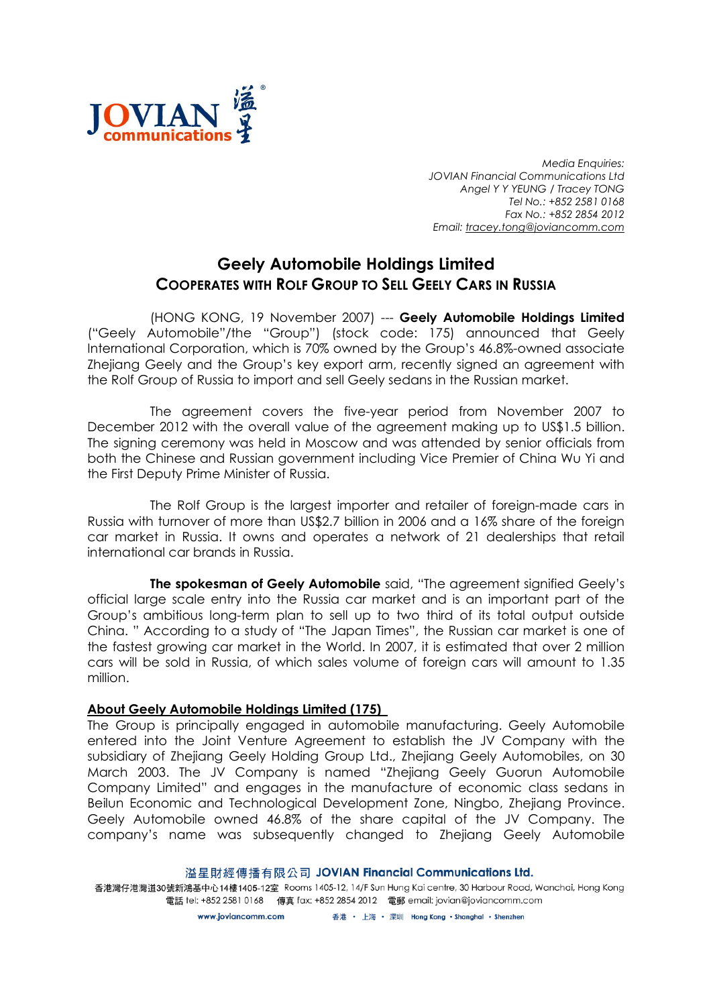

Media Enquiries: JOVIAN Financial Communications Ltd Angel Y Y YEUNG / Tracey TONG Tel No.: +852 2581 0168 Fax No.: +852 2854 2012 Email: tracey.tong@joviancomm.com

## Geely Automobile Holdings Limited COOPERATES WITH ROLF GROUP TO SELL GEELY CARS IN RUSSIA

(HONG KONG, 19 November 2007) --- Geely Automobile Holdings Limited ("Geely Automobile"/the "Group") (stock code: 175) announced that Geely International Corporation, which is 70% owned by the Group's 46.8%-owned associate Zhejiang Geely and the Group's key export arm, recently signed an agreement with the Rolf Group of Russia to import and sell Geely sedans in the Russian market.

The agreement covers the five-year period from November 2007 to December 2012 with the overall value of the agreement making up to US\$1.5 billion. The signing ceremony was held in Moscow and was attended by senior officials from both the Chinese and Russian government including Vice Premier of China Wu Yi and the First Deputy Prime Minister of Russia.

The Rolf Group is the largest importer and retailer of foreign-made cars in Russia with turnover of more than US\$2.7 billion in 2006 and a 16% share of the foreign car market in Russia. It owns and operates a network of 21 dealerships that retail international car brands in Russia.

The spokesman of Geely Automobile said, "The agreement signified Geely's official large scale entry into the Russia car market and is an important part of the Group's ambitious long-term plan to sell up to two third of its total output outside China. " According to a study of "The Japan Times", the Russian car market is one of the fastest growing car market in the World. In 2007, it is estimated that over 2 million cars will be sold in Russia, of which sales volume of foreign cars will amount to 1.35 million.

## About Geely Automobile Holdings Limited (175)

The Group is principally engaged in automobile manufacturing. Geely Automobile entered into the Joint Venture Agreement to establish the JV Company with the subsidiary of Zhejiang Geely Holding Group Ltd., Zhejiang Geely Automobiles, on 30 March 2003. The JV Company is named "Zhejiang Geely Guorun Automobile Company Limited" and engages in the manufacture of economic class sedans in Beilun Economic and Technological Development Zone, Ningbo, Zhejiang Province. Geely Automobile owned 46.8% of the share capital of the JV Company. The company's name was subsequently changed to Zhejiang Geely Automobile

溢星財經傳播有限公司 JOVIAN Financial Communications Ltd.

香港灣仔港灣道30號新鴻基中心14樓1405-12室 Rooms 1405-12, 14/F Sun Hung Kai centre, 30 Harbour Road, Wanchai, Hong Kong 電話 tel: +852 2581 0168 傳真 fax: +852 2854 2012 電郵 email: jovian@joviancomm.com